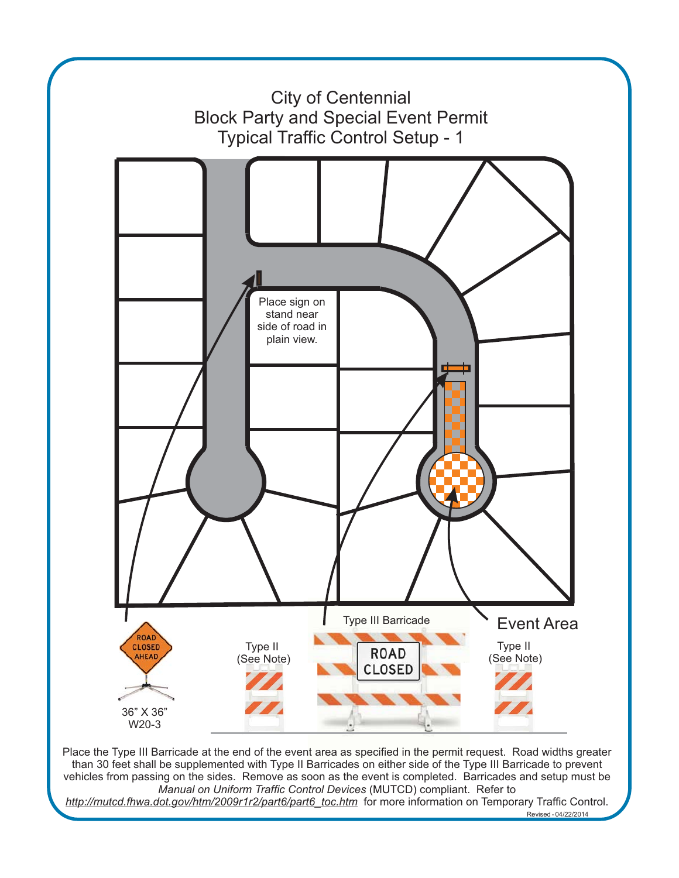

Place the Type III Barricade at the end of the event area as specified in the permit request. Road widths greater than 30 feet shall be supplemented with Type II Barricades on either side of the Type III Barricade to prevent vehicles from passing on the sides. Remove as soon as the event is completed. Barricades and setup must be *Manual on Uniform Traffic Control Devices* (MUTCD) compliant. Refer to *http://mutcd.fhwa.dot.gov/htm/2009r1r2/part6/part6\_toc.htm* for more information on Temporary Traffic Control.

Revised - 04/22/2014